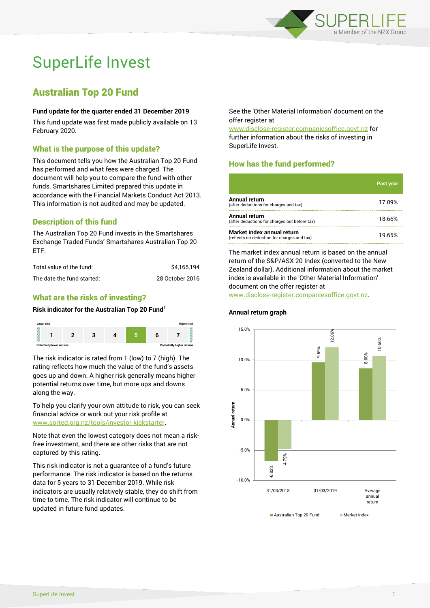

# SuperLife Invest

## Australian Top 20 Fund

#### **Fund update for the quarter ended 31 December 2019**

This fund update was first made publicly available on 13 February 2020.

## What is the purpose of this update?

This document tells you how the Australian Top 20 Fund has performed and what fees were charged. The document will help you to compare the fund with other funds. Smartshares Limited prepared this update in accordance with the Financial Markets Conduct Act 2013. This information is not audited and may be updated.

## Description of this fund

The Australian Top 20 Fund invests in the Smartshares Exchange Traded Funds' Smartshares Australian Top 20 ETF.

| Total value of the fund:   | \$4.165.194     |
|----------------------------|-----------------|
| The date the fund started: | 28 October 2016 |

## What are the risks of investing?

#### **Risk indicator for the Australian Top 20 Fund<sup>1</sup>**



The risk indicator is rated from 1 (low) to 7 (high). The rating reflects how much the value of the fund's assets goes up and down. A higher risk generally means higher potential returns over time, but more ups and downs along the way.

To help you clarify your own attitude to risk, you can seek financial advice or work out your risk profile at [www.sorted.org.nz/tools/investor-kickstarter.](http://www.sorted.org.nz/tools/investor-kickstarter)

Note that even the lowest category does not mean a riskfree investment, and there are other risks that are not captured by this rating.

This risk indicator is not a guarantee of a fund's future performance. The risk indicator is based on the returns data for 5 years to 31 December 2019. While risk indicators are usually relatively stable, they do shift from time to time. The risk indicator will continue to be updated in future fund updates.

See the 'Other Material Information' document on the offer register at

www.disclose-register.companiesoffice.govt.nz for further information about the risks of investing in SuperLife Invest.

## How has the fund performed?

|                                                                           | <b>Past year</b> |
|---------------------------------------------------------------------------|------------------|
| <b>Annual return</b><br>(after deductions for charges and tax)            | 17.09%           |
| Annual return<br>(after deductions for charges but before tax)            | 18.66%           |
| Market index annual return<br>(reflects no deduction for charges and tax) | 19.65%           |

The market index annual return is based on the annual return of the S&P/ASX 20 Index (converted to the New Zealand dollar). Additional information about the market index is available in the 'Other Material Information' document on the offer register at

www.disclose-register.companiesoffice.govt.nz.

## **Annual return graph**



SuperLife Invest 1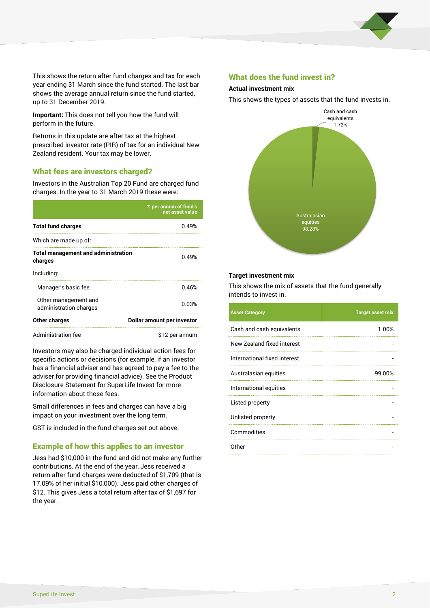

This shows the return after fund charges and tax for each year ending 31 March since the fund started. The last bar shows the average annual return since the fund started, up to 31 December 2019.

**Important:** This does not tell you how the fund will perform in the future.

Returns in this update are after tax at the highest prescribed investor rate (PIR) of tax for an individual New Zealand resident. Your tax may be lower.

#### What fees are investors charged?

Investors in the Australian Top 20 Fund are charged fund charges. In the year to 31 March 2019 these were:

|                                                       | % per annum of fund's<br>net asset value |  |  |
|-------------------------------------------------------|------------------------------------------|--|--|
| <b>Total fund charges</b>                             | በ 49%                                    |  |  |
| Which are made up of:                                 |                                          |  |  |
| <b>Total management and administration</b><br>charges | 0.49%                                    |  |  |
| Including:                                            |                                          |  |  |
| Manager's basic fee                                   | 0.46%                                    |  |  |
| Other management and<br>administration charges        | 0.03%                                    |  |  |
| <b>Other charges</b>                                  | Dollar amount per investor               |  |  |
| Administration fee                                    | \$12 per annum                           |  |  |

Investors may also be charged individual action fees for specific actions or decisions (for example, if an investor has a financial adviser and has agreed to pay a fee to the adviser for providing financial advice). See the Product Disclosure Statement for SuperLife Invest for more information about those fees.

Small differences in fees and charges can have a big impact on your investment over the long term.

GST is included in the fund charges set out above.

#### Example of how this applies to an investor

Jess had \$10,000 in the fund and did not make any further contributions. At the end of the year, Jess received a return after fund charges were deducted of \$1,709 (that is 17.09% of her initial \$10,000). Jess paid other charges of \$12. This gives Jess a total return after tax of \$1,697 for the year.

#### What does the fund invest in?

#### **Actual investment mix**

This shows the types of assets that the fund invests in.



#### **Target investment mix**

This shows the mix of assets that the fund generally intends to invest in.

| <b>Asset Category</b>        | <b>Target asset mix</b> |
|------------------------------|-------------------------|
| Cash and cash equivalents    | 1.00%                   |
| New Zealand fixed interest   |                         |
| International fixed interest |                         |
| Australasian equities        | 99.00%                  |
| International equities       |                         |
| Listed property              |                         |
| Unlisted property            |                         |
| Commodities                  |                         |
| Other                        |                         |